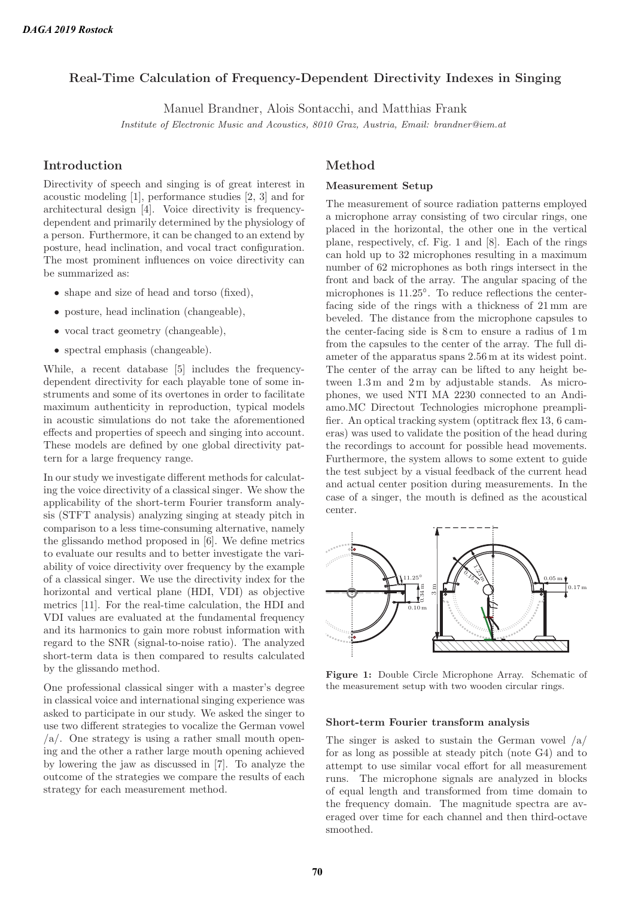# **Real-Time Calculation of Frequency-Dependent Directivity Indexes in Singing**

Manuel Brandner, Alois Sontacchi, and Matthias Frank

Institute of Electronic Music and Acoustics, 8010 Graz, Austria, Email: brandner@iem.at

### **Introduction**

Directivity of speech and singing is of great interest in acoustic modeling [1], performance studies [2, 3] and for architectural design [4]. Voice directivity is frequencydependent and primarily determined by the physiology of a person. Furthermore, it can be changed to an extend by posture, head inclination, and vocal tract configuration. The most prominent influences on voice directivity can be summarized as:

- shape and size of head and torso (fixed),
- posture, head inclination (changeable),
- vocal tract geometry (changeable),
- spectral emphasis (changeable).

While, a recent database [5] includes the frequencydependent directivity for each playable tone of some instruments and some of its overtones in order to facilitate maximum authenticity in reproduction, typical models in acoustic simulations do not take the aforementioned effects and properties of speech and singing into account. These models are defined by one global directivity pattern for a large frequency range.

In our study we investigate different methods for calculating the voice directivity of a classical singer. We show the applicability of the short-term Fourier transform analysis (STFT analysis) analyzing singing at steady pitch in comparison to a less time-consuming alternative, namely the glissando method proposed in [6]. We define metrics to evaluate our results and to better investigate the variability of voice directivity over frequency by the example of a classical singer. We use the directivity index for the horizontal and vertical plane (HDI, VDI) as objective metrics [11]. For the real-time calculation, the HDI and VDI values are evaluated at the fundamental frequency and its harmonics to gain more robust information with regard to the SNR (signal-to-noise ratio). The analyzed short-term data is then compared to results calculated by the glissando method.

One professional classical singer with a master's degree in classical voice and international singing experience was asked to participate in our study. We asked the singer to use two different strategies to vocalize the German vowel  $a$ . One strategy is using a rather small mouth opening and the other a rather large mouth opening achieved by lowering the jaw as discussed in [7]. To analyze the outcome of the strategies we compare the results of each strategy for each measurement method.

### **Method**

#### **Measurement Setup**

The measurement of source radiation patterns employed a microphone array consisting of two circular rings, one placed in the horizontal, the other one in the vertical plane, respectively, cf. Fig. 1 and [8]. Each of the rings can hold up to 32 microphones resulting in a maximum number of 62 microphones as both rings intersect in the front and back of the array. The angular spacing of the microphones is  $11.25^{\circ}$ . To reduce reflections the centerfacing side of the rings with a thickness of 21 mm are beveled. The distance from the microphone capsules to the center-facing side is 8 cm to ensure a radius of 1 m from the capsules to the center of the array. The full diameter of the apparatus spans 2.56 m at its widest point. The center of the array can be lifted to any height between 1.3 m and 2 m by adjustable stands. As microphones, we used NTI MA 2230 connected to an Andiamo.MC Directout Technologies microphone preamplifier. An optical tracking system (optitrack flex 13, 6 cameras) was used to validate the position of the head during the recordings to account for possible head movements. Furthermore, the system allows to some extent to guide the test subject by a visual feedback of the current head and actual center position during measurements. In the case of a singer, the mouth is defined as the acoustical center.



**Figure 1:** Double Circle Microphone Array. Schematic of the measurement setup with two wooden circular rings.

#### **Short-term Fourier transform analysis**

The singer is asked to sustain the German vowel  $/a/$ for as long as possible at steady pitch (note G4) and to attempt to use similar vocal effort for all measurement runs. The microphone signals are analyzed in blocks of equal length and transformed from time domain to the frequency domain. The magnitude spectra are averaged over time for each channel and then third-octave smoothed.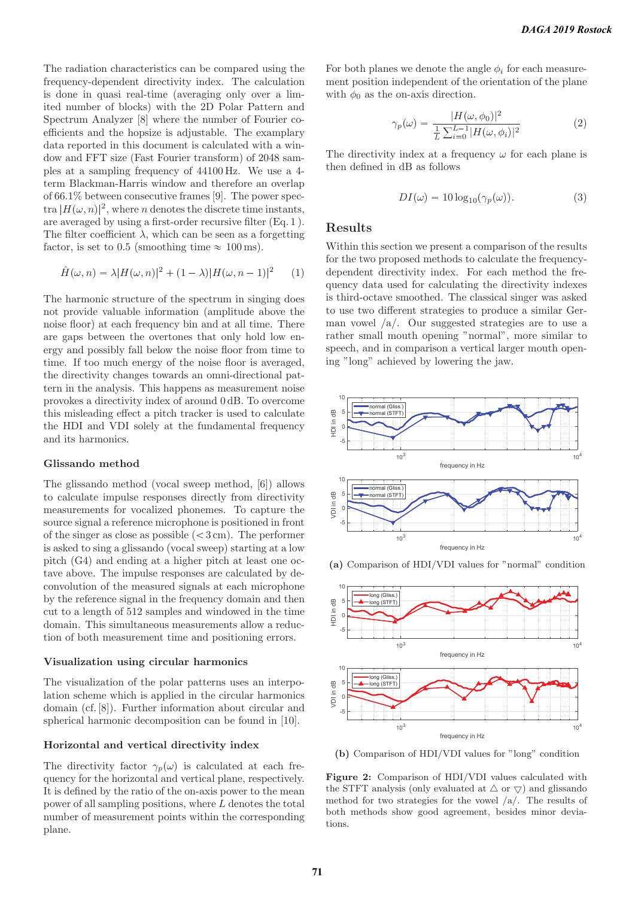The radiation characteristics can be compared using the frequency-dependent directivity index. The calculation is done in quasi real-time (averaging only over a limited number of blocks) with the 2D Polar Pattern and Spectrum Analyzer [8] where the number of Fourier coefficients and the hopsize is adjustable. The examplary data reported in this document is calculated with a window and FFT size (Fast Fourier transform) of 2048 samples at a sampling frequency of 44100 Hz. We use a 4 term Blackman-Harris window and therefore an overlap of 66.1% between consecutive frames [9]. The power spectra  $|H(\omega, n)|^2$ , where n denotes the discrete time instants, are averaged by using a first-order recursive filter (Eq. 1 ). The filter coefficient  $\lambda$ , which can be seen as a forgetting factor, is set to 0.5 (smoothing time  $\approx 100 \,\mathrm{ms}$ ).

$$
\hat{H}(\omega, n) = \lambda |H(\omega, n)|^2 + (1 - \lambda)|H(\omega, n - 1)|^2 \qquad (1)
$$

The harmonic structure of the spectrum in singing does not provide valuable information (amplitude above the noise floor) at each frequency bin and at all time. There are gaps between the overtones that only hold low energy and possibly fall below the noise floor from time to time. If too much energy of the noise floor is averaged, the directivity changes towards an omni-directional pattern in the analysis. This happens as measurement noise provokes a directivity index of around 0 dB. To overcome this misleading effect a pitch tracker is used to calculate the HDI and VDI solely at the fundamental frequency and its harmonics.

#### **Glissando method**

The glissando method (vocal sweep method, [6]) allows to calculate impulse responses directly from directivity measurements for vocalized phonemes. To capture the source signal a reference microphone is positioned in front of the singer as close as possible  $( $3 \text{ cm}$ ). The performance$ is asked to sing a glissando (vocal sweep) starting at a low pitch (G4) and ending at a higher pitch at least one octave above. The impulse responses are calculated by deconvolution of the measured signals at each microphone by the reference signal in the frequency domain and then cut to a length of 512 samples and windowed in the time domain. This simultaneous measurements allow a reduction of both measurement time and positioning errors.

#### **Visualization using circular harmonics**

The visualization of the polar patterns uses an interpolation scheme which is applied in the circular harmonics domain (cf. [8]). Further information about circular and spherical harmonic decomposition can be found in [10].

#### **Horizontal and vertical directivity index**

The directivity factor  $\gamma_p(\omega)$  is calculated at each frequency for the horizontal and vertical plane, respectively. It is defined by the ratio of the on-axis power to the mean power of all sampling positions, where L denotes the total number of measurement points within the corresponding plane.

For both planes we denote the angle  $\phi_i$  for each measurement position independent of the orientation of the plane with  $\phi_0$  as the on-axis direction.

$$
\gamma_p(\omega) = \frac{|H(\omega, \phi_0)|^2}{\frac{1}{L} \sum_{i=0}^{L-1} |H(\omega, \phi_i)|^2}
$$
(2)

The directivity index at a frequency  $\omega$  for each plane is then defined in dB as follows

$$
DI(\omega) = 10 \log_{10}(\gamma_p(\omega)).
$$
\n(3)

### **Results**

Within this section we present a comparison of the results for the two proposed methods to calculate the frequencydependent directivity index. For each method the frequency data used for calculating the directivity indexes is third-octave smoothed. The classical singer was asked to use two different strategies to produce a similar German vowel  $\langle a \rangle$ . Our suggested strategies are to use a rather small mouth opening "normal", more similar to speech, and in comparison a vertical larger mouth opening "long" achieved by lowering the jaw.





**(a)** Comparison of HDI/VDI values for "normal" condition

**(b)** Comparison of HDI/VDI values for "long" condition

**Figure 2:** Comparison of HDI/VDI values calculated with the STFT analysis (only evaluated at  $\triangle$  or  $\bigtriangledown$  ) and glissando method for two strategies for the vowel /a/. The results of both methods show good agreement, besides minor deviations.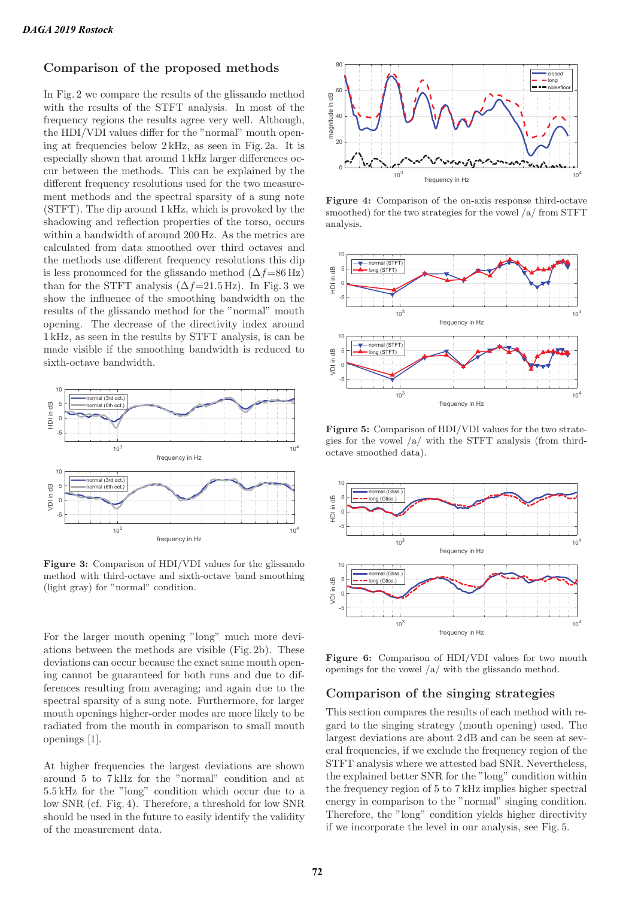### **Comparison of the proposed methods**

In Fig. 2 we compare the results of the glissando method with the results of the STFT analysis. In most of the frequency regions the results agree very well. Although, the HDI/VDI values differ for the "normal" mouth opening at frequencies below 2 kHz, as seen in Fig. 2a. It is especially shown that around 1 kHz larger differences occur between the methods. This can be explained by the different frequency resolutions used for the two measurement methods and the spectral sparsity of a sung note (STFT). The dip around 1 kHz, which is provoked by the shadowing and reflection properties of the torso, occurs within a bandwidth of around 200 Hz. As the metrics are calculated from data smoothed over third octaves and the methods use different frequency resolutions this dip is less pronounced for the glissando method  $(\Delta f=86 \text{ Hz})$ than for the STFT analysis  $(\Delta f=21.5 \text{ Hz})$ . In Fig. 3 we show the influence of the smoothing bandwidth on the results of the glissando method for the "normal" mouth opening. The decrease of the directivity index around 1 kHz, as seen in the results by STFT analysis, is can be made visible if the smoothing bandwidth is reduced to sixth-octave bandwidth.



**Figure 3:** Comparison of HDI/VDI values for the glissando method with third-octave and sixth-octave band smoothing (light gray) for "normal" condition.

For the larger mouth opening "long" much more deviations between the methods are visible (Fig. 2b). These deviations can occur because the exact same mouth opening cannot be guaranteed for both runs and due to differences resulting from averaging; and again due to the spectral sparsity of a sung note. Furthermore, for larger mouth openings higher-order modes are more likely to be radiated from the mouth in comparison to small mouth openings [1].

At higher frequencies the largest deviations are shown around 5 to 7 kHz for the "normal" condition and at 5.5 kHz for the "long" condition which occur due to a low SNR (cf. Fig. 4). Therefore, a threshold for low SNR should be used in the future to easily identify the validity of the measurement data.



**Figure 4:** Comparison of the on-axis response third-octave smoothed) for the two strategies for the vowel /a/ from STFT analysis.



**Figure 5:** Comparison of HDI/VDI values for the two strategies for the vowel /a/ with the STFT analysis (from thirdoctave smoothed data).



**Figure 6:** Comparison of HDI/VDI values for two mouth openings for the vowel /a/ with the glissando method.

### **Comparison of the singing strategies**

This section compares the results of each method with regard to the singing strategy (mouth opening) used. The largest deviations are about 2 dB and can be seen at several frequencies, if we exclude the frequency region of the STFT analysis where we attested bad SNR. Nevertheless, the explained better SNR for the "long" condition within the frequency region of 5 to 7 kHz implies higher spectral energy in comparison to the "normal" singing condition. Therefore, the "long" condition yields higher directivity if we incorporate the level in our analysis, see Fig. 5.